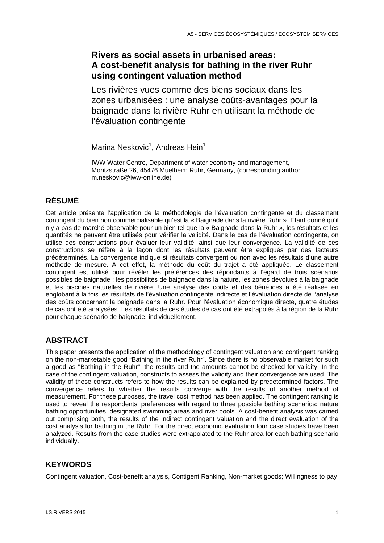# **Rivers as social assets in urbanised areas: A cost-benefit analysis for bathing in the river Ruhr using contingent valuation method**

Les rivières vues comme des biens sociaux dans les zones urbanisées : une analyse coûts-avantages pour la baignade dans la rivière Ruhr en utilisant la méthode de l'évaluation contingente

Marina Neskovic<sup>1</sup>, Andreas Hein<sup>1</sup>

IWW Water Centre, Department of water economy and management, Moritzstraße 26, 45476 Muelheim Ruhr, Germany, (corresponding author: m.neskovic@iww-online.de)

# **RÉSUMÉ**

Cet article présente l'application de la méthodologie de l'évaluation contingente et du classement contingent du bien non commercialisable qu'est la « Baignade dans la rivière Ruhr ». Etant donné qu'il n'y a pas de marché observable pour un bien tel que la « Baignade dans la Ruhr », les résultats et les quantités ne peuvent être utilisés pour vérifier la validité. Dans le cas de l'évaluation contingente, on utilise des constructions pour évaluer leur validité, ainsi que leur convergence. La validité de ces constructions se réfère à la façon dont les résultats peuvent être expliqués par des facteurs prédéterminés. La convergence indique si résultats convergent ou non avec les résultats d'une autre méthode de mesure. A cet effet, la méthode du coût du trajet a été appliquée. Le classement contingent est utilisé pour révéler les préférences des répondants à l'égard de trois scénarios possibles de baignade : les possibilités de baignade dans la nature, les zones dévolues à la baignade et les piscines naturelles de rivière. Une analyse des coûts et des bénéfices a été réalisée en englobant à la fois les résultats de l'évaluation contingente indirecte et l'évaluation directe de l'analyse des coûts concernant la baignade dans la Ruhr. Pour l'évaluation économique directe, quatre études de cas ont été analysées. Les résultats de ces études de cas ont été extrapolés à la région de la Ruhr pour chaque scénario de baignade, individuellement.

# **ABSTRACT**

This paper presents the application of the methodology of contingent valuation and contingent ranking on the non-marketable good "Bathing in the river Ruhr". Since there is no observable market for such a good as "Bathing in the Ruhr", the results and the amounts cannot be checked for validity. In the case of the contingent valuation, constructs to assess the validity and their convergence are used. The validity of these constructs refers to how the results can be explained by predetermined factors. The convergence refers to whether the results converge with the results of another method of measurement. For these purposes, the travel cost method has been applied. The contingent ranking is used to reveal the respondents' preferences with regard to three possible bathing scenarios: nature bathing opportunities, designated swimming areas and river pools. A cost-benefit analysis was carried out comprising both, the results of the indirect contingent valuation and the direct evaluation of the cost analysis for bathing in the Ruhr. For the direct economic evaluation four case studies have been analyzed. Results from the case studies were extrapolated to the Ruhr area for each bathing scenario individually.

## **KEYWORDS**

Contingent valuation, Cost-benefit analysis, Contigent Ranking, Non-market goods; Willingness to pay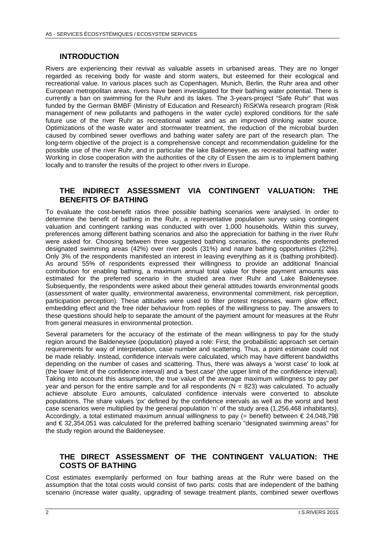#### **INTRODUCTION**

Rivers are experiencing their revival as valuable assets in urbanised areas. They are no longer regarded as receiving body for waste and storm waters, but esteemed for their ecological and recreational value. In various places such as Copenhagen, Munich, Berlin, the Ruhr area and other European metropolitan areas, rivers have been investigated for their bathing water potential. There is currently a ban on swimming for the Ruhr and its lakes. The 3-years-project "Safe Ruhr" that was funded by the German BMBF (Ministry of Education and Research) RiSKWa research program (Risk management of new pollutants and pathogens in the water cycle) explored conditions for the safe future use of the river Ruhr as recreational water and as an improved drinking water source. Optimizations of the waste water and stormwater treatment, the reduction of the microbial burden caused by combined sewer overflows and bathing water safety are part of the research plan. The long-term objective of the project is a comprehensive concept and recommendation guideline for the possible use of the river Ruhr, and in particular the lake Baldeneysee, as recreational bathing water. Working in close cooperation with the authorities of the city of Essen the aim is to implement bathing locally and to transfer the results of the project to other rivers in Europe.

#### **THE INDIRECT ASSESSMENT VIA CONTINGENT VALUATION: THE BENEFITS OF BATHING**

To evaluate the cost-benefit ratios three possible bathing scenarios were analysed. In order to determine the benefit of bathing in the Ruhr, a representative population survey using contingent valuation and contingent ranking was conducted with over 1,000 households. Within this survey, preferences among different bathing scenarios and also the appreciation for bathing in the river Ruhr were asked for. Choosing between three suggested bathing scenarios, the respondents preferred designated swimming areas (42%) over river pools (31%) and nature bathing opportunities (22%). Only 3% of the respondents manifested an interest in leaving everything as it is (bathing prohibited). As around 55% of respondents expressed their willingness to provide an additional financial contribution for enabling bathing, a maximum annual total value for these payment amounts was estimated for the preferred scenario in the studied area river Ruhr and Lake Baldeneysee. Subsequently, the respondents were asked about their general attitudes towards environmental goods (assessment of water quality, environmental awareness, environmental commitment, risk perception, participation perception). These attitudes were used to filter protest responses, warm glow effect, embedding effect and the free rider behaviour from replies of the willingness to pay. The answers to these questions should help to separate the amount of the payment amount for measures at the Ruhr from general measures in environmental protection.

Several parameters for the accuracy of the estimate of the mean willingness to pay for the study region around the Baldeneysee (population) played a role: First, the probabilistic approach set certain requirements for way of interpretation, case number and scattering. Thus, a point estimate could not be made reliably. Instead, confidence intervals were calculated, which may have different bandwidths depending on the number of cases and scattering. Thus, there was always a 'worst case' to look at (the lower limit of the confidence interval) and a 'best case' (the upper limit of the confidence interval). Taking into account this assumption, the true value of the average maximum willingness to pay per year and person for the entire sample and for all respondents ( $N = 823$ ) was calculated. To actually achieve absolute Euro amounts, calculated confidence intervals were converted to absolute populations. The share values 'px' defined by the confidence intervals as well as the worst and best case scenarios were multiplied by the general population 'n' of the study area (1,256,468 inhabitants). Accordingly, a total estimated maximum annual willingness to pay (= benefit) between  $\epsilon$  24,048,798 and € 32,354,051 was calculated for the preferred bathing scenario "designated swimming areas" for the study region around the Baldeneysee.

### **THE DIRECT ASSESSMENT OF THE CONTINGENT VALUATION: THE COSTS OF BATHING**

Cost estimates exemplarily performed on four bathing areas at the Ruhr were based on the assumption that the total costs would consist of two parts: costs that are independent of the bathing scenario (increase water quality, upgrading of sewage treatment plants, combined sewer overflows